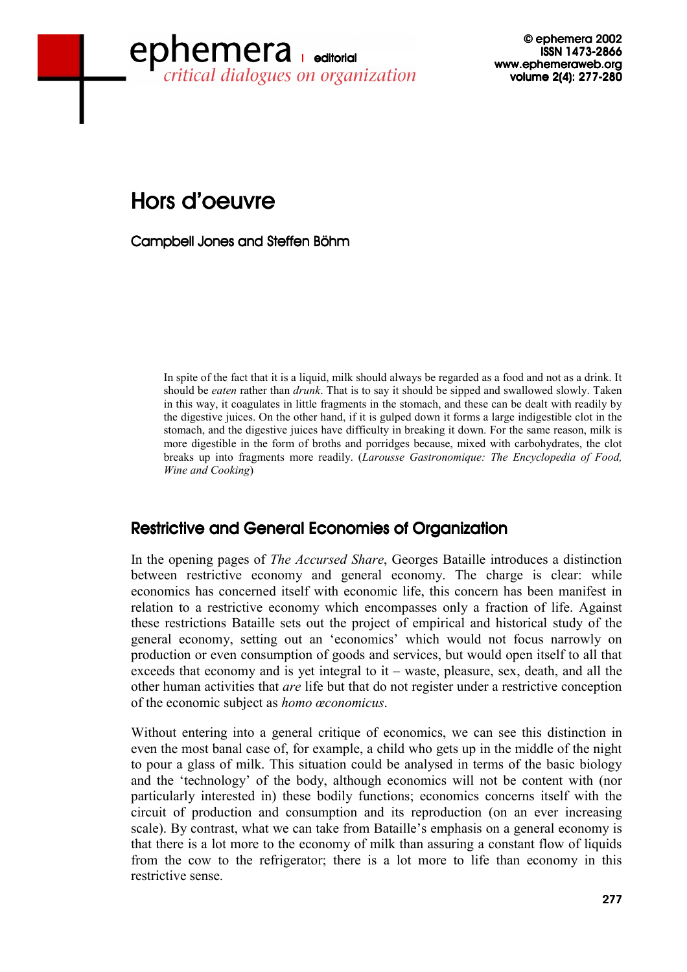## www.ephemeraweb.org<br>critical dialogues on organization www.ephemeraweb.org ephemera

© ephemera 2002 © 2002 2002 ISSN 1473-2866 volume 2(4): 277-280

# Hors d'oeuvre

Campbell Jones and Steffen Böhm

In spite of the fact that it is a liquid, milk should always be regarded as a food and not as a drink. It should be *eaten* rather than *drunk*. That is to say it should be sipped and swallowed slowly. Taken in this way, it coagulates in little fragments in the stomach, and these can be dealt with readily by the digestive juices. On the other hand, if it is gulped down it forms a large indigestible clot in the stomach, and the digestive juices have difficulty in breaking it down. For the same reason, milk is more digestible in the form of broths and porridges because, mixed with carbohydrates, the clot breaks up into fragments more readily. (*Larousse Gastronomique: The Encyclopedia of Food, Wine and Cooking*)

#### Restrictive and General Economies of Organization

In the opening pages of *The Accursed Share*, Georges Bataille introduces a distinction between restrictive economy and general economy. The charge is clear: while economics has concerned itself with economic life, this concern has been manifest in relation to a restrictive economy which encompasses only a fraction of life. Against these restrictions Bataille sets out the project of empirical and historical study of the general economy, setting out an 'economics' which would not focus narrowly on production or even consumption of goods and services, but would open itself to all that exceeds that economy and is yet integral to it – waste, pleasure, sex, death, and all the other human activities that *are* life but that do not register under a restrictive conception of the economic subject as *homo œconomicus*.

Without entering into a general critique of economics, we can see this distinction in even the most banal case of, for example, a child who gets up in the middle of the night to pour a glass of milk. This situation could be analysed in terms of the basic biology and the 'technology' of the body, although economics will not be content with (nor particularly interested in) these bodily functions; economics concerns itself with the circuit of production and consumption and its reproduction (on an ever increasing scale). By contrast, what we can take from Bataille's emphasis on a general economy is that there is a lot more to the economy of milk than assuring a constant flow of liquids from the cow to the refrigerator; there is a lot more to life than economy in this restrictive sense.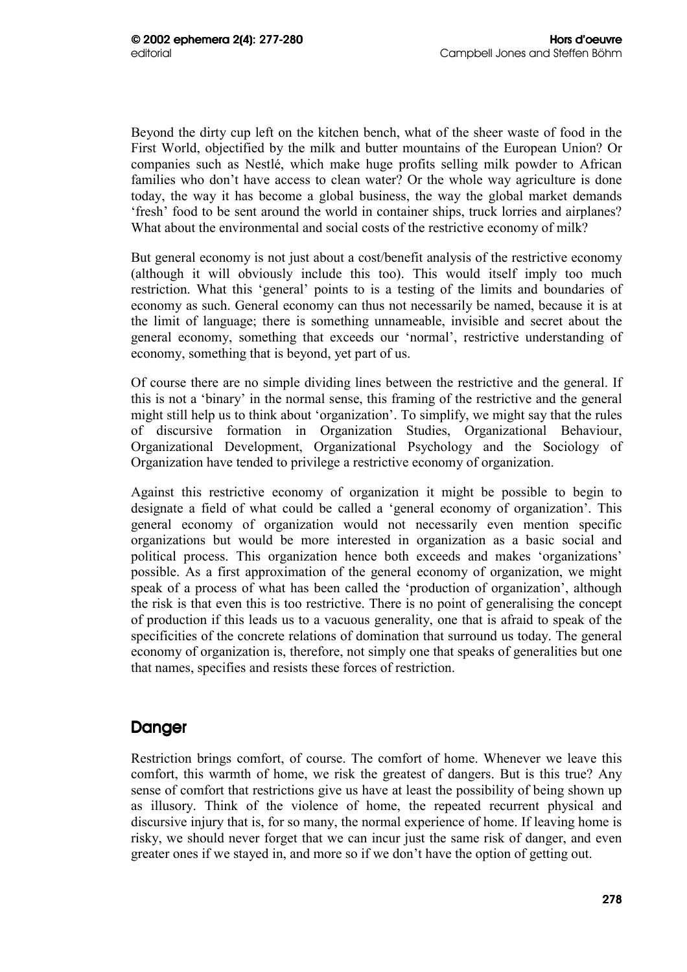Beyond the dirty cup left on the kitchen bench, what of the sheer waste of food in the First World, objectified by the milk and butter mountains of the European Union? Or companies such as Nestlé, which make huge profits selling milk powder to African families who don't have access to clean water? Or the whole way agriculture is done today, the way it has become a global business, the way the global market demands 'fresh' food to be sent around the world in container ships, truck lorries and airplanes? What about the environmental and social costs of the restrictive economy of milk?

But general economy is not just about a cost/benefit analysis of the restrictive economy (although it will obviously include this too). This would itself imply too much restriction. What this 'general' points to is a testing of the limits and boundaries of economy as such. General economy can thus not necessarily be named, because it is at the limit of language; there is something unnameable, invisible and secret about the general economy, something that exceeds our 'normal', restrictive understanding of economy, something that is beyond, yet part of us.

Of course there are no simple dividing lines between the restrictive and the general. If this is not a 'binary' in the normal sense, this framing of the restrictive and the general might still help us to think about 'organization'. To simplify, we might say that the rules of discursive formation in Organization Studies, Organizational Behaviour, Organizational Development, Organizational Psychology and the Sociology of Organization have tended to privilege a restrictive economy of organization.

Against this restrictive economy of organization it might be possible to begin to designate a field of what could be called a 'general economy of organization'. This general economy of organization would not necessarily even mention specific organizations but would be more interested in organization as a basic social and political process. This organization hence both exceeds and makes 'organizations' possible. As a first approximation of the general economy of organization, we might speak of a process of what has been called the 'production of organization', although the risk is that even this is too restrictive. There is no point of generalising the concept of production if this leads us to a vacuous generality, one that is afraid to speak of the specificities of the concrete relations of domination that surround us today. The general economy of organization is, therefore, not simply one that speaks of generalities but one that names, specifies and resists these forces of restriction.

### **Danger**

Restriction brings comfort, of course. The comfort of home. Whenever we leave this comfort, this warmth of home, we risk the greatest of dangers. But is this true? Any sense of comfort that restrictions give us have at least the possibility of being shown up as illusory. Think of the violence of home, the repeated recurrent physical and discursive injury that is, for so many, the normal experience of home. If leaving home is risky, we should never forget that we can incur just the same risk of danger, and even greater ones if we stayed in, and more so if we don't have the option of getting out.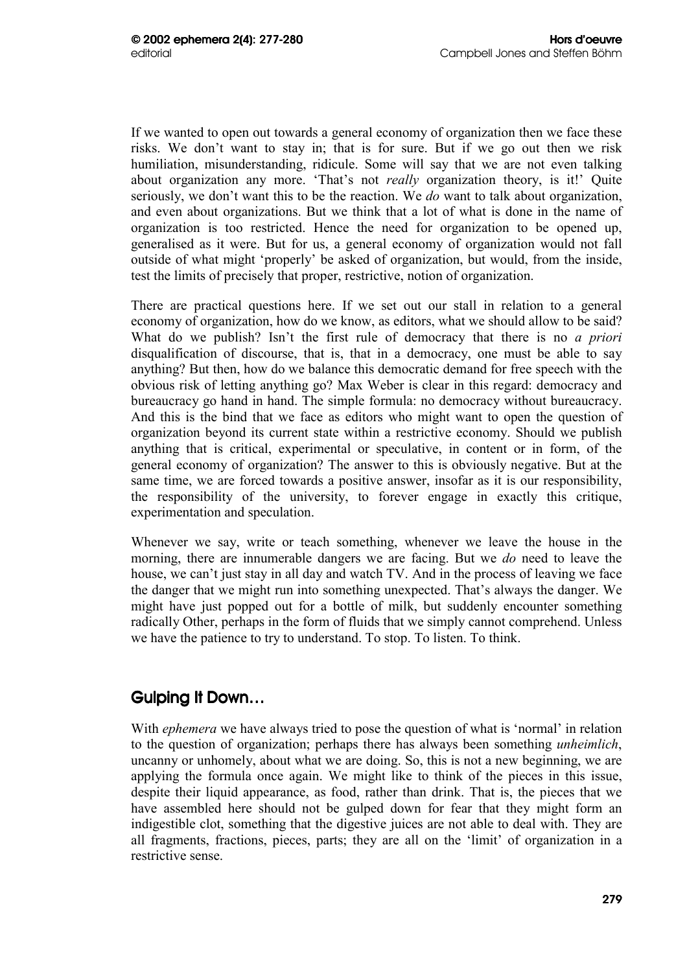If we wanted to open out towards a general economy of organization then we face these risks. We don't want to stay in; that is for sure. But if we go out then we risk humiliation, misunderstanding, ridicule. Some will say that we are not even talking about organization any more. 'That's not *really* organization theory, is it!' Quite seriously, we don't want this to be the reaction. We *do* want to talk about organization, and even about organizations. But we think that a lot of what is done in the name of organization is too restricted. Hence the need for organization to be opened up, generalised as it were. But for us, a general economy of organization would not fall outside of what might 'properly' be asked of organization, but would, from the inside, test the limits of precisely that proper, restrictive, notion of organization.

There are practical questions here. If we set out our stall in relation to a general economy of organization, how do we know, as editors, what we should allow to be said? What do we publish? Isn't the first rule of democracy that there is no *a priori* disqualification of discourse, that is, that in a democracy, one must be able to say anything? But then, how do we balance this democratic demand for free speech with the obvious risk of letting anything go? Max Weber is clear in this regard: democracy and bureaucracy go hand in hand. The simple formula: no democracy without bureaucracy. And this is the bind that we face as editors who might want to open the question of organization beyond its current state within a restrictive economy. Should we publish anything that is critical, experimental or speculative, in content or in form, of the general economy of organization? The answer to this is obviously negative. But at the same time, we are forced towards a positive answer, insofar as it is our responsibility, the responsibility of the university, to forever engage in exactly this critique, experimentation and speculation.

Whenever we say, write or teach something, whenever we leave the house in the morning, there are innumerable dangers we are facing. But we *do* need to leave the house, we can't just stay in all day and watch TV. And in the process of leaving we face the danger that we might run into something unexpected. That's always the danger. We might have just popped out for a bottle of milk, but suddenly encounter something radically Other, perhaps in the form of fluids that we simply cannot comprehend. Unless we have the patience to try to understand. To stop. To listen. To think.

#### Gulping It Down...

With *ephemera* we have always tried to pose the question of what is 'normal' in relation to the question of organization; perhaps there has always been something *unheimlich*, uncanny or unhomely, about what we are doing. So, this is not a new beginning, we are applying the formula once again. We might like to think of the pieces in this issue, despite their liquid appearance, as food, rather than drink. That is, the pieces that we have assembled here should not be gulped down for fear that they might form an indigestible clot, something that the digestive juices are not able to deal with. They are all fragments, fractions, pieces, parts; they are all on the 'limit' of organization in a restrictive sense.